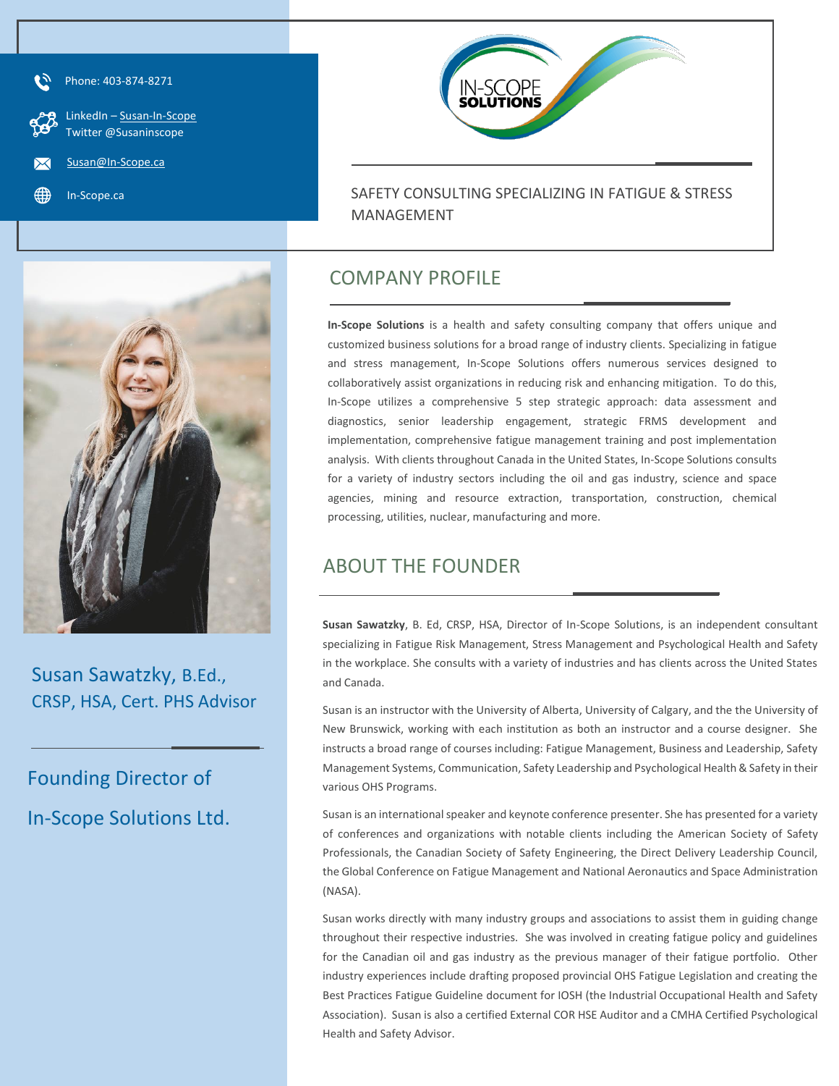

Phone: 403-874-8271

 LinkedIn – [Susan-In-Scope](http://www.linkedin.com/in/susan-in-scope) Twitter @Susaninscope

[Susan@In-Scope.ca](mailto:Susan@In-Scope.ca)

In-Scope.ca





Susan Sawatzky, B.Ed., CRSP, HSA, Cert. PHS Advisor

Founding Director of In-Scope Solutions Ltd.

## COMPANY PROFILE

**In-Scope Solutions** is a health and safety consulting company that offers unique and customized business solutions for a broad range of industry clients. Specializing in fatigue and stress management, In-Scope Solutions offers numerous services designed to collaboratively assist organizations in reducing risk and enhancing mitigation. To do this, In-Scope utilizes a comprehensive 5 step strategic approach: data assessment and diagnostics, senior leadership engagement, strategic FRMS development and implementation, comprehensive fatigue management training and post implementation analysis. With clients throughout Canada in the United States, In-Scope Solutions consults for a variety of industry sectors including the oil and gas industry, science and space agencies, mining and resource extraction, transportation, construction, chemical processing, utilities, nuclear, manufacturing and more.

## ABOUT THE FOUNDER

**Susan Sawatzky**, B. Ed, CRSP, HSA, Director of In-Scope Solutions, is an independent consultant specializing in Fatigue Risk Management, Stress Management and Psychological Health and Safety in the workplace. She consults with a variety of industries and has clients across the United States and Canada.

Susan is an instructor with the University of Alberta, University of Calgary, and the the University of New Brunswick, working with each institution as both an instructor and a course designer. She instructs a broad range of courses including: Fatigue Management, Business and Leadership, Safety Management Systems, Communication, Safety Leadership and Psychological Health & Safety in their various OHS Programs.

Susan is an international speaker and keynote conference presenter. She has presented for a variety of conferences and organizations with notable clients including the American Society of Safety Professionals, the Canadian Society of Safety Engineering, the Direct Delivery Leadership Council, the Global Conference on Fatigue Management and National Aeronautics and Space Administration (NASA).

Susan works directly with many industry groups and associations to assist them in guiding change throughout their respective industries. She was involved in creating fatigue policy and guidelines for the Canadian oil and gas industry as the previous manager of their fatigue portfolio. Other industry experiences include drafting proposed provincial OHS Fatigue Legislation and creating the Best Practices Fatigue Guideline document for IOSH (the Industrial Occupational Health and Safety Association). Susan is also a certified External COR HSE Auditor and a CMHA Certified Psychological Health and Safety Advisor.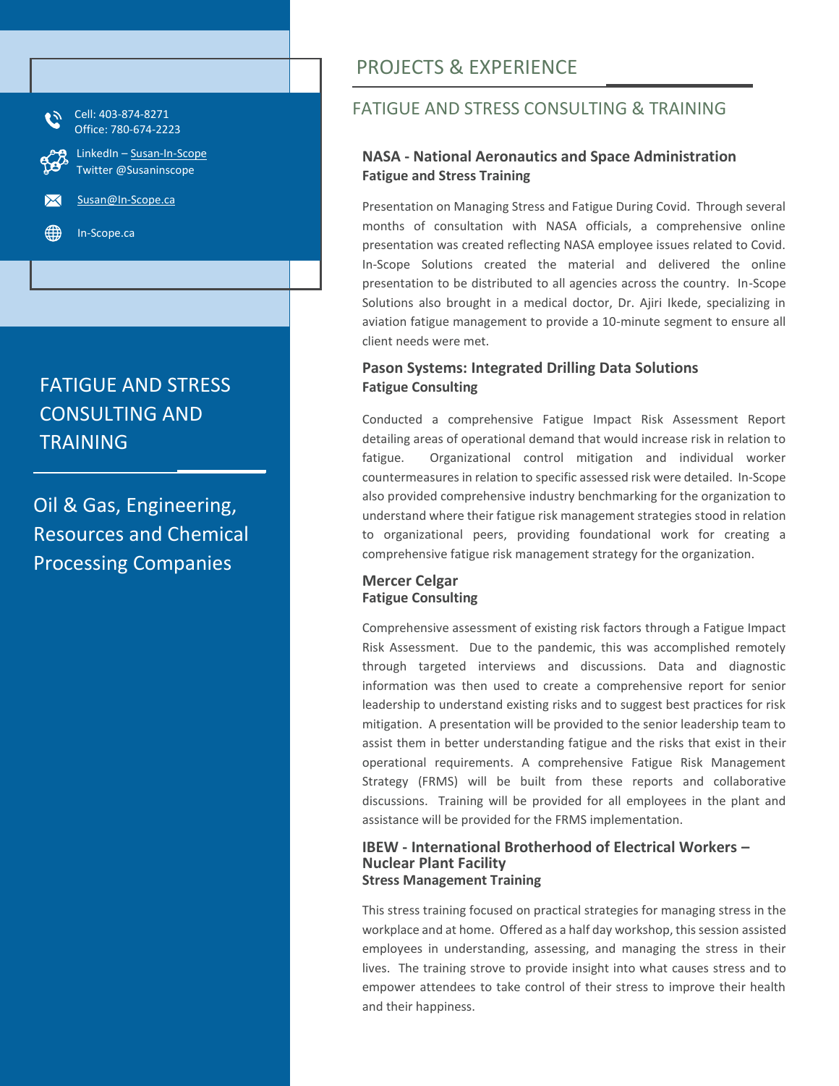

Oil & Gas, Engineering, Resources and Chemical Processing Companies

## PROJECTS & EXPERIENCE

## FATIGUE AND STRESS CONSULTING & TRAINING

#### **NASA - National Aeronautics and Space Administration Fatigue and Stress Training**

Presentation on Managing Stress and Fatigue During Covid. Through several months of consultation with NASA officials, a comprehensive online presentation was created reflecting NASA employee issues related to Covid. In-Scope Solutions created the material and delivered the online presentation to be distributed to all agencies across the country. In-Scope Solutions also brought in a medical doctor, Dr. Ajiri Ikede, specializing in aviation fatigue management to provide a 10-minute segment to ensure all client needs were met.

#### **Pason Systems: Integrated Drilling Data Solutions Fatigue Consulting**

Conducted a comprehensive Fatigue Impact Risk Assessment Report detailing areas of operational demand that would increase risk in relation to fatigue. Organizational control mitigation and individual worker countermeasures in relation to specific assessed risk were detailed. In-Scope also provided comprehensive industry benchmarking for the organization to understand where their fatigue risk management strategies stood in relation to organizational peers, providing foundational work for creating a comprehensive fatigue risk management strategy for the organization.

#### **Mercer Celgar Fatigue Consulting**

Comprehensive assessment of existing risk factors through a Fatigue Impact Risk Assessment. Due to the pandemic, this was accomplished remotely through targeted interviews and discussions. Data and diagnostic information was then used to create a comprehensive report for senior leadership to understand existing risks and to suggest best practices for risk mitigation. A presentation will be provided to the senior leadership team to assist them in better understanding fatigue and the risks that exist in their operational requirements. A comprehensive Fatigue Risk Management Strategy (FRMS) will be built from these reports and collaborative discussions. Training will be provided for all employees in the plant and assistance will be provided for the FRMS implementation.

#### **IBEW - International Brotherhood of Electrical Workers – Nuclear Plant Facility Stress Management Training**

This stress training focused on practical strategies for managing stress in the workplace and at home. Offered as a half day workshop, this session assisted employees in understanding, assessing, and managing the stress in their lives. The training strove to provide insight into what causes stress and to empower attendees to take control of their stress to improve their health and their happiness.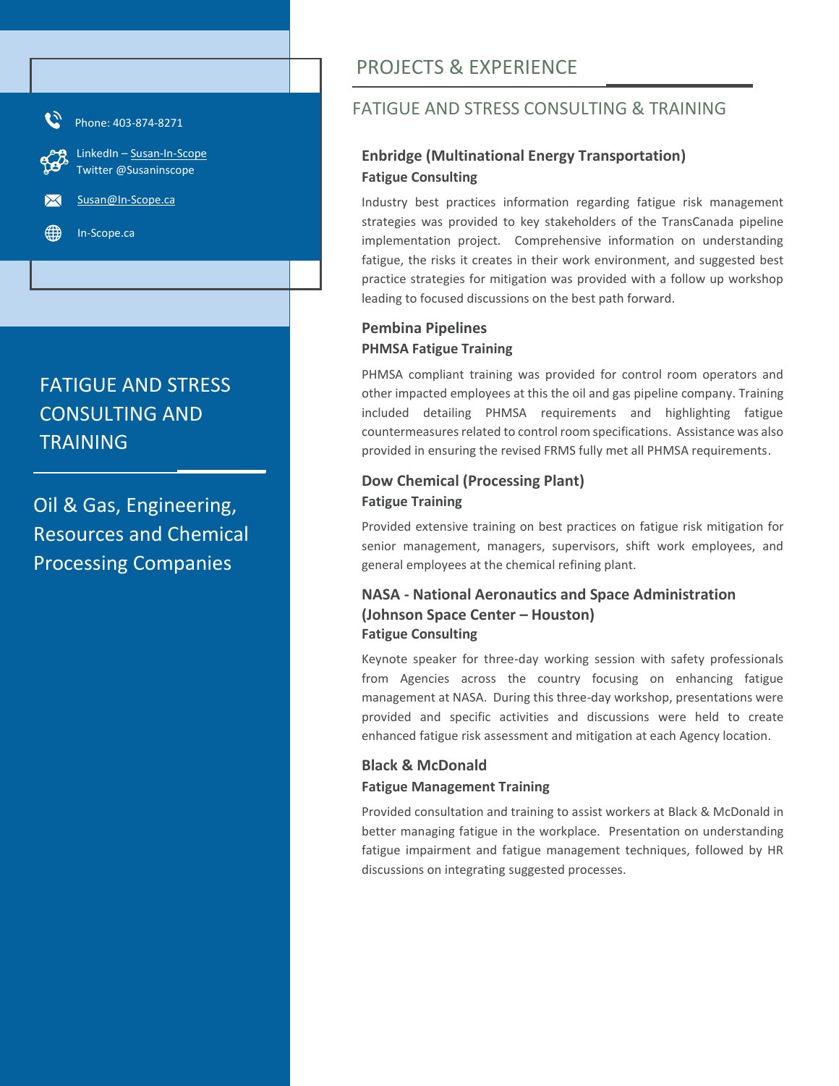

Oil & Gas, Engineering, Resources and Chemical Processing Companies

# PROJECTS & EXPERIENCE

## FATIGUE AND STRESS CONSULTING & TRAINING

### **Enbridge (Multinational Energy Transportation) Fatigue Consulting**

Industry best practices information regarding fatigue risk management strategies was provided to key stakeholders of the TransCanada pipeline implementation project. Comprehensive information on understanding fatigue, the risks it creates in their work environment, and suggested best practice strategies for mitigation was provided with a follow up workshop leading to focused discussions on the best path forward.

### **Pembina Pipelines PHMSA Fatigue Training**

PHMSA compliant training was provided for control room operators and other impacted employees at this the oil and gas pipeline company. Training included detailing PHMSA requirements and highlighting fatigue countermeasures related to control room specifications. Assistance was also provided in ensuring the revised FRMS fully met all PHMSA requirements.

### **Dow Chemical (Processing Plant) Fatigue Training**

Provided extensive training on best practices on fatigue risk mitigation for senior management, managers, supervisors, shift work employees, and general employees at the chemical refining plant.

### **NASA - National Aeronautics and Space Administration (Johnson Space Center – Houston) Fatigue Consulting**

Keynote speaker for three-day working session with safety professionals from Agencies across the country focusing on enhancing fatigue management at NASA. During this three-day workshop, presentations were provided and specific activities and discussions were held to create enhanced fatigue risk assessment and mitigation at each Agency location.

### **Black & McDonald Fatigue Management Training**

Provided consultation and training to assist workers at Black & McDonald in better managing fatigue in the workplace. Presentation on understanding fatigue impairment and fatigue management techniques, followed by HR discussions on integrating suggested processes.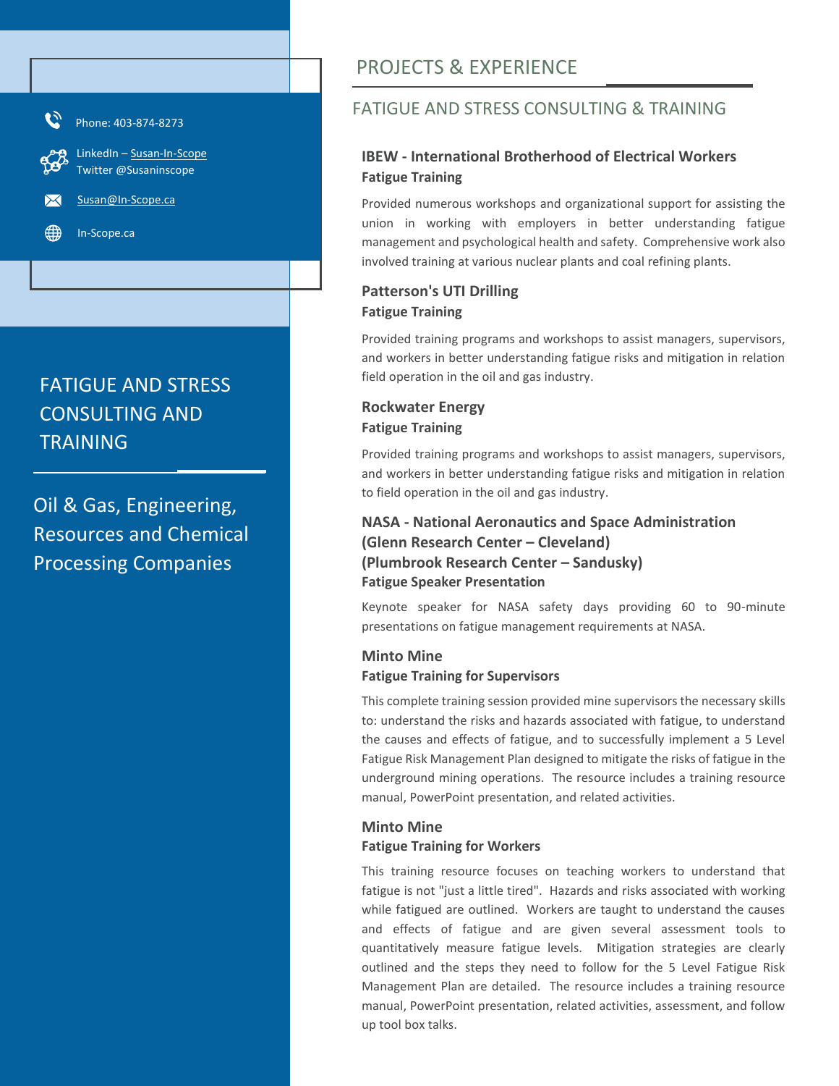

Oil & Gas, Engineering, Resources and Chemical Processing Companies

# PROJECTS & EXPERIENCE

## FATIGUE AND STRESS CONSULTING & TRAINING

### **IBEW - International Brotherhood of Electrical Workers Fatigue Training**

Provided numerous workshops and organizational support for assisting the union in working with employers in better understanding fatigue management and psychological health and safety. Comprehensive work also involved training at various nuclear plants and coal refining plants.

### **Patterson's UTI Drilling Fatigue Training**

Provided training programs and workshops to assist managers, supervisors, and workers in better understanding fatigue risks and mitigation in relation field operation in the oil and gas industry.

#### **Rockwater Energy Fatigue Training**

Provided training programs and workshops to assist managers, supervisors, and workers in better understanding fatigue risks and mitigation in relation to field operation in the oil and gas industry.

### **NASA - National Aeronautics and Space Administration (Glenn Research Center – Cleveland) (Plumbrook Research Center – Sandusky) Fatigue Speaker Presentation**

Keynote speaker for NASA safety days providing 60 to 90-minute presentations on fatigue management requirements at NASA.

### **Minto Mine Fatigue Training for Supervisors**

This complete training session provided mine supervisors the necessary skills to: understand the risks and hazards associated with fatigue, to understand the causes and effects of fatigue, and to successfully implement a 5 Level Fatigue Risk Management Plan designed to mitigate the risks of fatigue in the underground mining operations. The resource includes a training resource manual, PowerPoint presentation, and related activities.

#### **Minto Mine Fatigue Training for Workers**

This training resource focuses on teaching workers to understand that fatigue is not "just a little tired". Hazards and risks associated with working while fatigued are outlined. Workers are taught to understand the causes and effects of fatigue and are given several assessment tools to quantitatively measure fatigue levels. Mitigation strategies are clearly outlined and the steps they need to follow for the 5 Level Fatigue Risk Management Plan are detailed. The resource includes a training resource manual, PowerPoint presentation, related activities, assessment, and follow up tool box talks.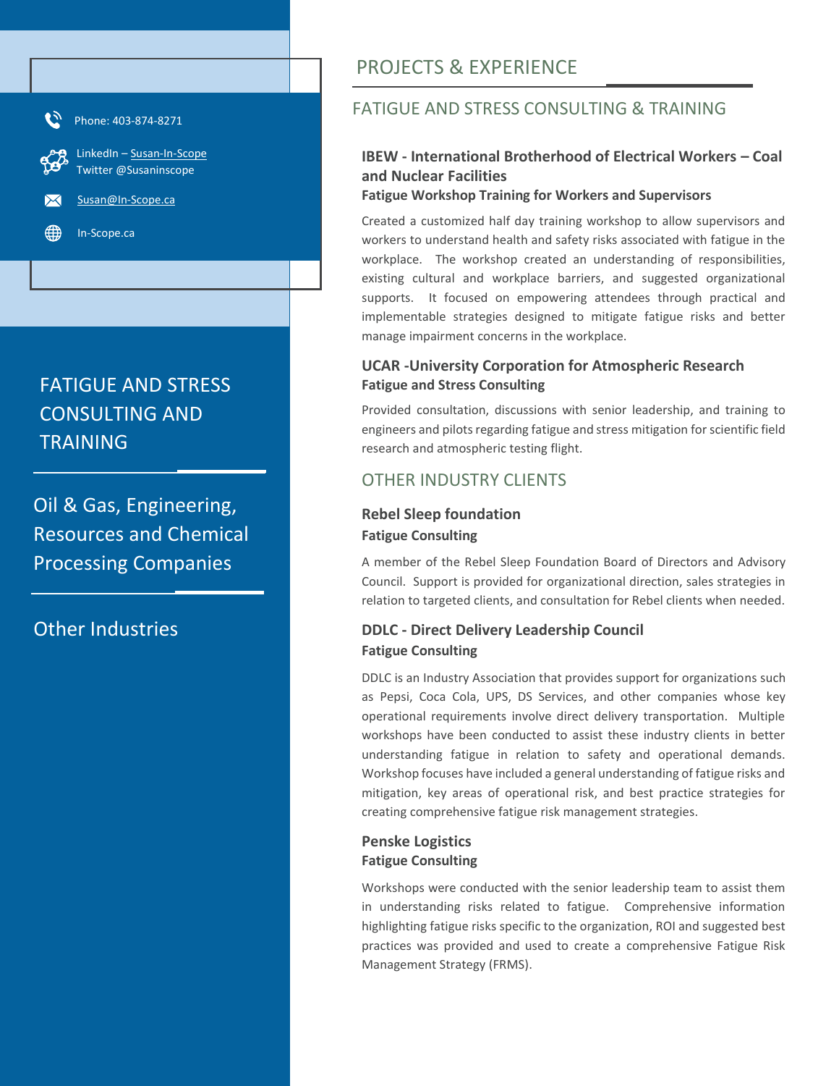

Oil & Gas, Engineering, Resources and Chemical Processing Companies

Other Industries

# PROJECTS & EXPERIENCE

## FATIGUE AND STRESS CONSULTING & TRAINING

### **IBEW - International Brotherhood of Electrical Workers – Coal and Nuclear Facilities**

#### **Fatigue Workshop Training for Workers and Supervisors**

Created a customized half day training workshop to allow supervisors and workers to understand health and safety risks associated with fatigue in the workplace. The workshop created an understanding of responsibilities, existing cultural and workplace barriers, and suggested organizational supports. It focused on empowering attendees through practical and implementable strategies designed to mitigate fatigue risks and better manage impairment concerns in the workplace.

#### **UCAR -University Corporation for Atmospheric Research Fatigue and Stress Consulting**

Provided consultation, discussions with senior leadership, and training to engineers and pilots regarding fatigue and stress mitigation for scientific field research and atmospheric testing flight.

## OTHER INDUSTRY CLIENTS

#### **Rebel Sleep foundation Fatigue Consulting**

A member of the Rebel Sleep Foundation Board of Directors and Advisory Council. Support is provided for organizational direction, sales strategies in relation to targeted clients, and consultation for Rebel clients when needed.

### **DDLC - Direct Delivery Leadership Council Fatigue Consulting**

DDLC is an Industry Association that provides support for organizations such as Pepsi, Coca Cola, UPS, DS Services, and other companies whose key operational requirements involve direct delivery transportation. Multiple workshops have been conducted to assist these industry clients in better understanding fatigue in relation to safety and operational demands. Workshop focuses have included a general understanding of fatigue risks and mitigation, key areas of operational risk, and best practice strategies for creating comprehensive fatigue risk management strategies.

#### **Penske Logistics Fatigue Consulting**

Workshops were conducted with the senior leadership team to assist them in understanding risks related to fatigue. Comprehensive information highlighting fatigue risks specific to the organization, ROI and suggested best practices was provided and used to create a comprehensive Fatigue Risk Management Strategy (FRMS).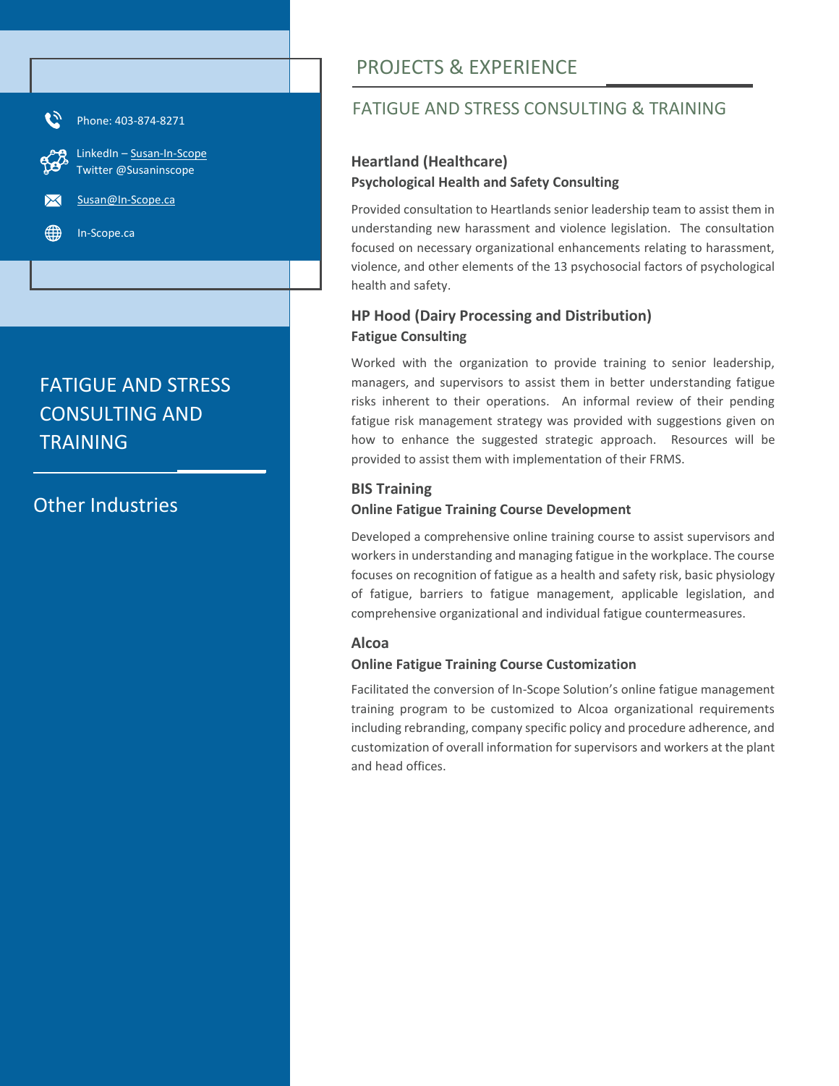

## Other Industries

# PROJECTS & EXPERIENCE

## FATIGUE AND STRESS CONSULTING & TRAINING

#### **Heartland (Healthcare) Psychological Health and Safety Consulting**

Provided consultation to Heartlands senior leadership team to assist them in understanding new harassment and violence legislation. The consultation focused on necessary organizational enhancements relating to harassment, violence, and other elements of the 13 psychosocial factors of psychological health and safety.

### **HP Hood (Dairy Processing and Distribution) Fatigue Consulting**

Worked with the organization to provide training to senior leadership, managers, and supervisors to assist them in better understanding fatigue risks inherent to their operations. An informal review of their pending fatigue risk management strategy was provided with suggestions given on how to enhance the suggested strategic approach. Resources will be provided to assist them with implementation of their FRMS.

#### **BIS Training**

#### **Online Fatigue Training Course Development**

Developed a comprehensive online training course to assist supervisors and workers in understanding and managing fatigue in the workplace. The course focuses on recognition of fatigue as a health and safety risk, basic physiology of fatigue, barriers to fatigue management, applicable legislation, and comprehensive organizational and individual fatigue countermeasures.

#### **Alcoa**

#### **Online Fatigue Training Course Customization**

Facilitated the conversion of In-Scope Solution's online fatigue management training program to be customized to Alcoa organizational requirements including rebranding, company specific policy and procedure adherence, and customization of overall information for supervisors and workers at the plant and head offices.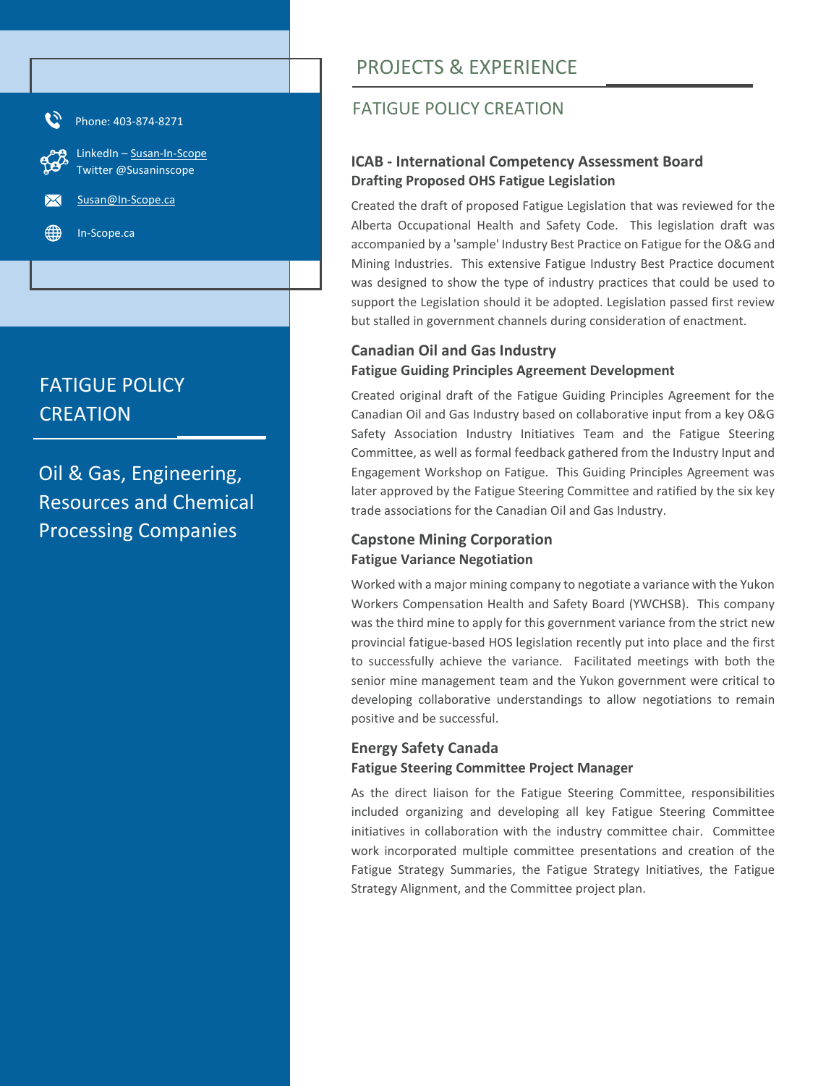

# FATIGUE POLICY **CREATION**

Oil & Gas, Engineering, Resources and Chemical Processing Companies

# PROJECTS & EXPERIENCE

## FATIGUE POLICY CREATION

#### **ICAB - International Competency Assessment Board Drafting Proposed OHS Fatigue Legislation**

Created the draft of proposed Fatigue Legislation that was reviewed for the Alberta Occupational Health and Safety Code. This legislation draft was accompanied by a 'sample' Industry Best Practice on Fatigue for the O&G and Mining Industries. This extensive Fatigue Industry Best Practice document was designed to show the type of industry practices that could be used to support the Legislation should it be adopted. Legislation passed first review but stalled in government channels during consideration of enactment.

### **Canadian Oil and Gas Industry Fatigue Guiding Principles Agreement Development**

Created original draft of the Fatigue Guiding Principles Agreement for the Canadian Oil and Gas Industry based on collaborative input from a key O&G Safety Association Industry Initiatives Team and the Fatigue Steering Committee, as well as formal feedback gathered from the Industry Input and Engagement Workshop on Fatigue. This Guiding Principles Agreement was later approved by the Fatigue Steering Committee and ratified by the six key trade associations for the Canadian Oil and Gas Industry.

### **Capstone Mining Corporation Fatigue Variance Negotiation**

Worked with a major mining company to negotiate a variance with the Yukon Workers Compensation Health and Safety Board (YWCHSB). This company was the third mine to apply for this government variance from the strict new provincial fatigue-based HOS legislation recently put into place and the first to successfully achieve the variance. Facilitated meetings with both the senior mine management team and the Yukon government were critical to developing collaborative understandings to allow negotiations to remain positive and be successful.

#### **Energy Safety Canada Fatigue Steering Committee Project Manager**

As the direct liaison for the Fatigue Steering Committee, responsibilities included organizing and developing all key Fatigue Steering Committee initiatives in collaboration with the industry committee chair. Committee work incorporated multiple committee presentations and creation of the Fatigue Strategy Summaries, the Fatigue Strategy Initiatives, the Fatigue Strategy Alignment, and the Committee project plan.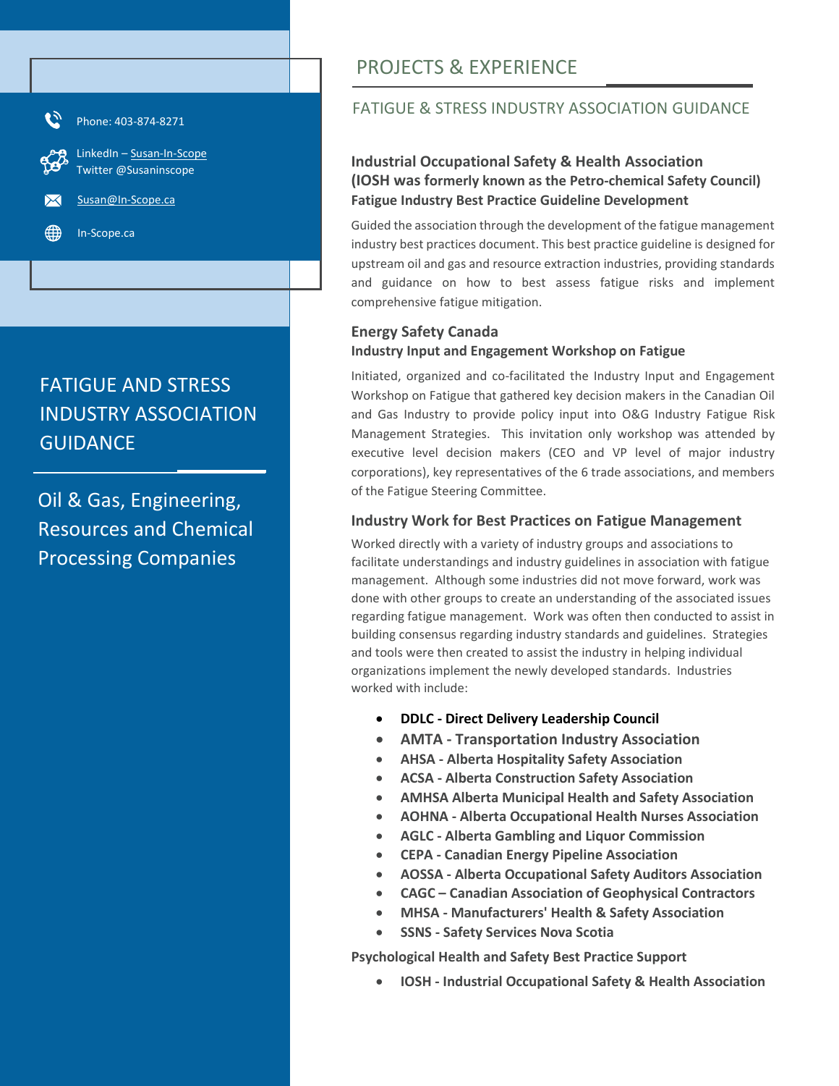

# FATIGUE AND STRESS INDUSTRY ASSOCIATION **GUIDANCE**

Oil & Gas, Engineering, Resources and Chemical Processing Companies

# PROJECTS & EXPERIENCE

### FATIGUE & STRESS INDUSTRY ASSOCIATION GUIDANCE

#### **Industrial Occupational Safety & Health Association (IOSH was formerly known as the Petro-chemical Safety Council) Fatigue Industry Best Practice Guideline Development**

Guided the association through the development of the fatigue management industry best practices document. This best practice guideline is designed for upstream oil and gas and resource extraction industries, providing standards and guidance on how to best assess fatigue risks and implement comprehensive fatigue mitigation.

### **Energy Safety Canada Industry Input and Engagement Workshop on Fatigue**

Initiated, organized and co-facilitated the Industry Input and Engagement Workshop on Fatigue that gathered key decision makers in the Canadian Oil and Gas Industry to provide policy input into O&G Industry Fatigue Risk Management Strategies. This invitation only workshop was attended by executive level decision makers (CEO and VP level of major industry corporations), key representatives of the 6 trade associations, and members of the Fatigue Steering Committee.

#### **Industry Work for Best Practices on Fatigue Management**

Worked directly with a variety of industry groups and associations to facilitate understandings and industry guidelines in association with fatigue management. Although some industries did not move forward, work was done with other groups to create an understanding of the associated issues regarding fatigue management. Work was often then conducted to assist in building consensus regarding industry standards and guidelines. Strategies and tools were then created to assist the industry in helping individual organizations implement the newly developed standards. Industries worked with include:

- **DDLC - Direct Delivery Leadership Council**
- **AMTA - Transportation Industry Association**
- **AHSA - Alberta Hospitality Safety Association**
- **ACSA - Alberta Construction Safety Association**
- **AMHSA Alberta Municipal Health and Safety Association**
- **AOHNA - Alberta Occupational Health Nurses Association**
- **AGLC - Alberta Gambling and Liquor Commission**
- **CEPA - Canadian Energy Pipeline Association**
- **AOSSA - Alberta Occupational Safety Auditors Association**
- **CAGC – Canadian Association of Geophysical Contractors**
- **MHSA - Manufacturers' Health & Safety Association**
- **SSNS - Safety Services Nova Scotia**

**Psychological Health and Safety Best Practice Support**

• **IOSH - Industrial Occupational Safety & Health Association**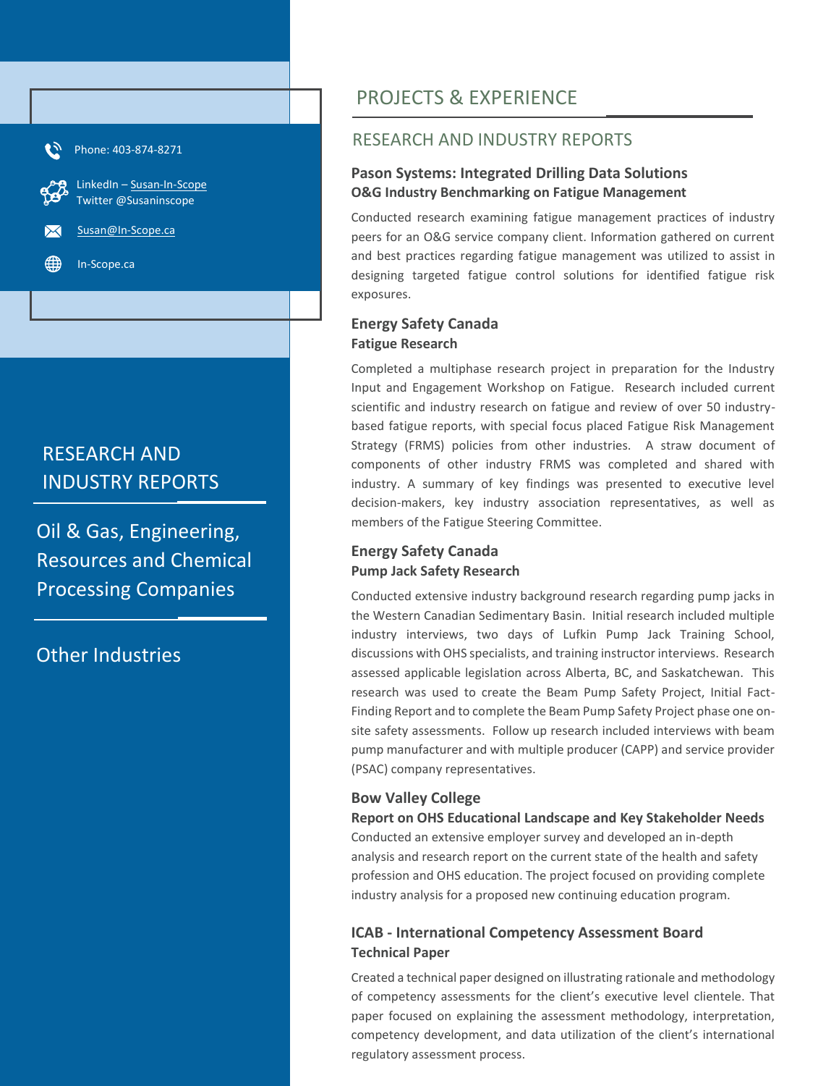Phone: 403-874-8271 LinkedIn – [Susan-In-Scope](http://www.linkedin.com/in/susan-in-scope) Twitter @Susaninscope [Susan@In-Scope.ca](mailto:Susan@In-Scope.ca) In-Scope.ca

# RESEARCH AND INDUSTRY REPORTS

Oil & Gas, Engineering, Resources and Chemical Processing Companies

Other Industries

# PROJECTS & EXPERIENCE

### RESEARCH AND INDUSTRY REPORTS

#### **Pason Systems: Integrated Drilling Data Solutions O&G Industry Benchmarking on Fatigue Management**

Conducted research examining fatigue management practices of industry peers for an O&G service company client. Information gathered on current and best practices regarding fatigue management was utilized to assist in designing targeted fatigue control solutions for identified fatigue risk exposures.

#### **Energy Safety Canada Fatigue Research**

Completed a multiphase research project in preparation for the Industry Input and Engagement Workshop on Fatigue. Research included current scientific and industry research on fatigue and review of over 50 industrybased fatigue reports, with special focus placed Fatigue Risk Management Strategy (FRMS) policies from other industries. A straw document of components of other industry FRMS was completed and shared with industry. A summary of key findings was presented to executive level decision-makers, key industry association representatives, as well as members of the Fatigue Steering Committee.

#### **Energy Safety Canada Pump Jack Safety Research**

Conducted extensive industry background research regarding pump jacks in the Western Canadian Sedimentary Basin. Initial research included multiple industry interviews, two days of Lufkin Pump Jack Training School, discussions with OHS specialists, and training instructor interviews. Research assessed applicable legislation across Alberta, BC, and Saskatchewan. This research was used to create the Beam Pump Safety Project, Initial Fact-Finding Report and to complete the Beam Pump Safety Project phase one onsite safety assessments. Follow up research included interviews with beam pump manufacturer and with multiple producer (CAPP) and service provider (PSAC) company representatives.

#### **Bow Valley College**

**Report on OHS Educational Landscape and Key Stakeholder Needs** Conducted an extensive employer survey and developed an in-depth analysis and research report on the current state of the health and safety profession and OHS education. The project focused on providing complete industry analysis for a proposed new continuing education program.

#### **ICAB - International Competency Assessment Board Technical Paper**

Created a technical paper designed on illustrating rationale and methodology of competency assessments for the client's executive level clientele. That paper focused on explaining the assessment methodology, interpretation, competency development, and data utilization of the client's international regulatory assessment process.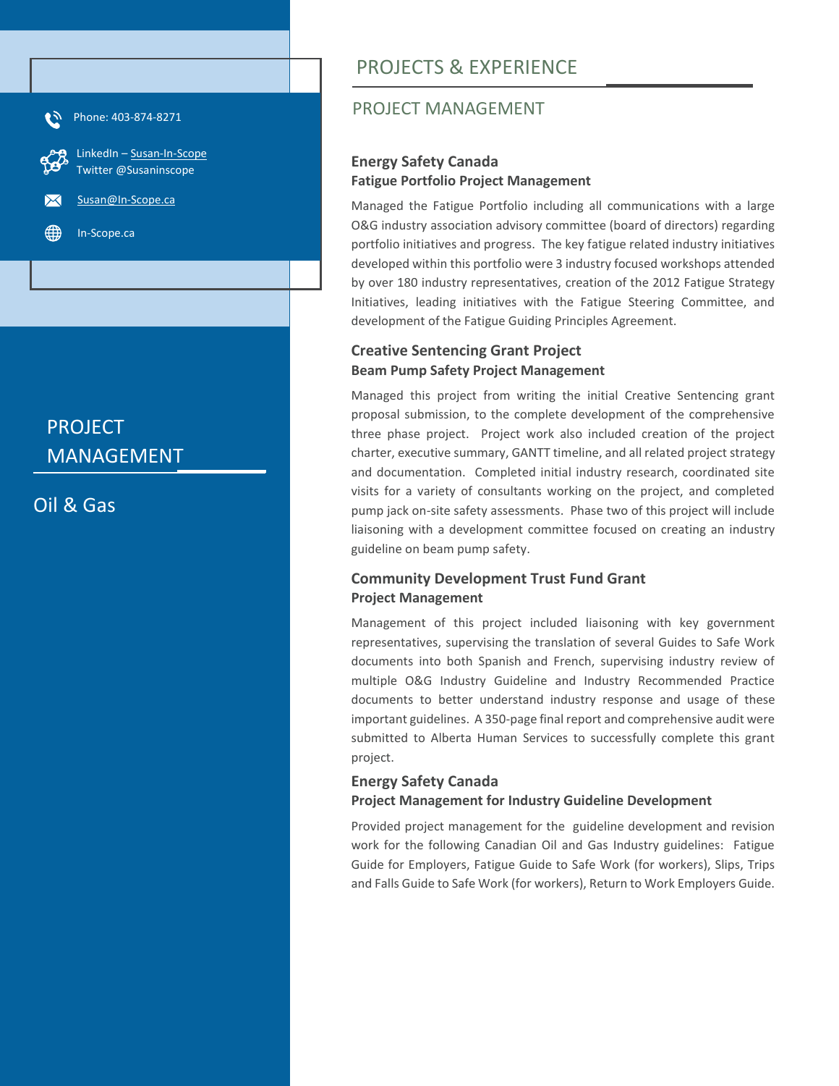

# PROJECT MANAGEMENT

Oil & Gas

# PROJECTS & EXPERIENCE

## PROJECT MANAGEMENT

### **Energy Safety Canada Fatigue Portfolio Project Management**

Managed the Fatigue Portfolio including all communications with a large O&G industry association advisory committee (board of directors) regarding portfolio initiatives and progress. The key fatigue related industry initiatives developed within this portfolio were 3 industry focused workshops attended by over 180 industry representatives, creation of the 2012 Fatigue Strategy Initiatives, leading initiatives with the Fatigue Steering Committee, and development of the Fatigue Guiding Principles Agreement.

#### **Creative Sentencing Grant Project Beam Pump Safety Project Management**

Managed this project from writing the initial Creative Sentencing grant proposal submission, to the complete development of the comprehensive three phase project. Project work also included creation of the project charter, executive summary, GANTT timeline, and all related project strategy and documentation. Completed initial industry research, coordinated site visits for a variety of consultants working on the project, and completed pump jack on-site safety assessments. Phase two of this project will include liaisoning with a development committee focused on creating an industry guideline on beam pump safety.

### **Community Development Trust Fund Grant Project Management**

Management of this project included liaisoning with key government representatives, supervising the translation of several Guides to Safe Work documents into both Spanish and French, supervising industry review of multiple O&G Industry Guideline and Industry Recommended Practice documents to better understand industry response and usage of these important guidelines. A 350-page final report and comprehensive audit were submitted to Alberta Human Services to successfully complete this grant project.

### **Energy Safety Canada Project Management for Industry Guideline Development**

Provided project management for the guideline development and revision work for the following Canadian Oil and Gas Industry guidelines: Fatigue Guide for Employers, Fatigue Guide to Safe Work (for workers), Slips, Trips and Falls Guide to Safe Work (for workers), Return to Work Employers Guide.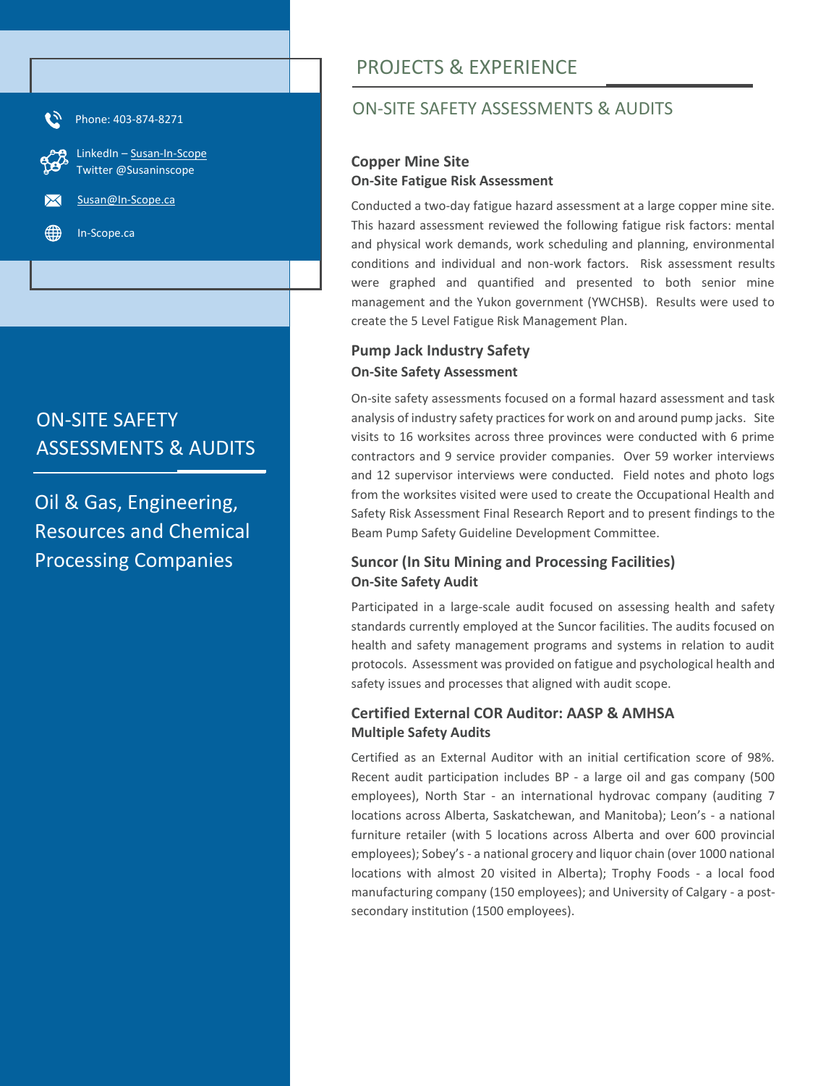

# ON-SITE SAFETY ASSESSMENTS & AUDITS

Oil & Gas, Engineering, Resources and Chemical Processing Companies

# PROJECTS & EXPERIENCE

## ON-SITE SAFETY ASSESSMENTS & AUDITS

#### **Copper Mine Site On-Site Fatigue Risk Assessment**

Conducted a two-day fatigue hazard assessment at a large copper mine site. This hazard assessment reviewed the following fatigue risk factors: mental and physical work demands, work scheduling and planning, environmental conditions and individual and non-work factors. Risk assessment results were graphed and quantified and presented to both senior mine management and the Yukon government (YWCHSB). Results were used to create the 5 Level Fatigue Risk Management Plan.

### **Pump Jack Industry Safety On-Site Safety Assessment**

On-site safety assessments focused on a formal hazard assessment and task analysis of industry safety practices for work on and around pump jacks. Site visits to 16 worksites across three provinces were conducted with 6 prime contractors and 9 service provider companies. Over 59 worker interviews and 12 supervisor interviews were conducted. Field notes and photo logs from the worksites visited were used to create the Occupational Health and Safety Risk Assessment Final Research Report and to present findings to the Beam Pump Safety Guideline Development Committee.

### **Suncor (In Situ Mining and Processing Facilities) On-Site Safety Audit**

Participated in a large-scale audit focused on assessing health and safety standards currently employed at the Suncor facilities. The audits focused on health and safety management programs and systems in relation to audit protocols. Assessment was provided on fatigue and psychological health and safety issues and processes that aligned with audit scope.

### **Certified External COR Auditor: AASP & AMHSA Multiple Safety Audits**

Certified as an External Auditor with an initial certification score of 98%. Recent audit participation includes BP - a large oil and gas company (500 employees), North Star - an international hydrovac company (auditing 7 locations across Alberta, Saskatchewan, and Manitoba); Leon's - a national furniture retailer (with 5 locations across Alberta and over 600 provincial employees); Sobey's - a national grocery and liquor chain (over 1000 national locations with almost 20 visited in Alberta); Trophy Foods - a local food manufacturing company (150 employees); and University of Calgary - a postsecondary institution (1500 employees).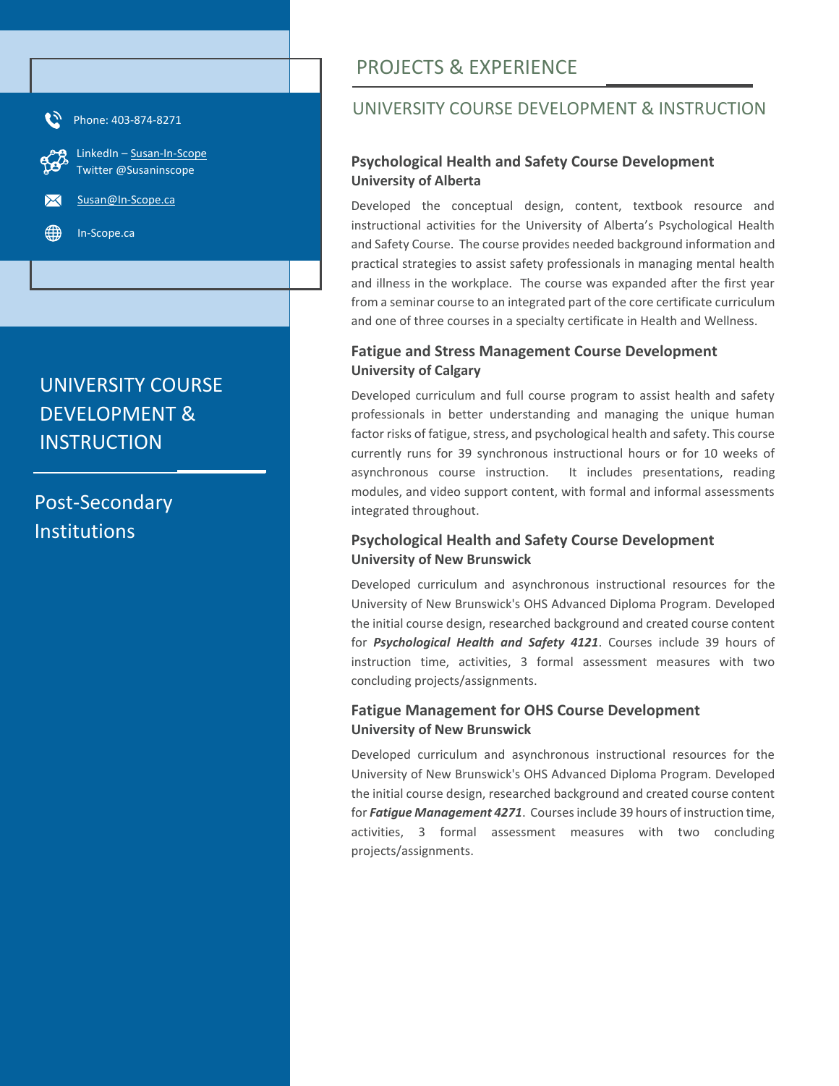

# UNIVERSITY COURSE DEVELOPMENT & **INSTRUCTION**

Post-Secondary Institutions

# PROJECTS & EXPERIENCE

## UNIVERSITY COURSE DEVELOPMENT & INSTRUCTION

#### **Psychological Health and Safety Course Development University of Alberta**

Developed the conceptual design, content, textbook resource and instructional activities for the University of Alberta's Psychological Health and Safety Course. The course provides needed background information and practical strategies to assist safety professionals in managing mental health and illness in the workplace. The course was expanded after the first year from a seminar course to an integrated part of the core certificate curriculum and one of three courses in a specialty certificate in Health and Wellness.

#### **Fatigue and Stress Management Course Development University of Calgary**

Developed curriculum and full course program to assist health and safety professionals in better understanding and managing the unique human factor risks of fatigue, stress, and psychological health and safety. This course currently runs for 39 synchronous instructional hours or for 10 weeks of asynchronous course instruction. It includes presentations, reading modules, and video support content, with formal and informal assessments integrated throughout.

#### **Psychological Health and Safety Course Development University of New Brunswick**

Developed curriculum and asynchronous instructional resources for the University of New Brunswick's OHS Advanced Diploma Program. Developed the initial course design, researched background and created course content for *Psychological Health and Safety 4121*. Courses include 39 hours of instruction time, activities, 3 formal assessment measures with two concluding projects/assignments.

#### **Fatigue Management for OHS Course Development University of New Brunswick**

Developed curriculum and asynchronous instructional resources for the University of New Brunswick's OHS Advanced Diploma Program. Developed the initial course design, researched background and created course content for *Fatigue Management 4271*. Courses include 39 hours of instruction time, activities, 3 formal assessment measures with two concluding projects/assignments.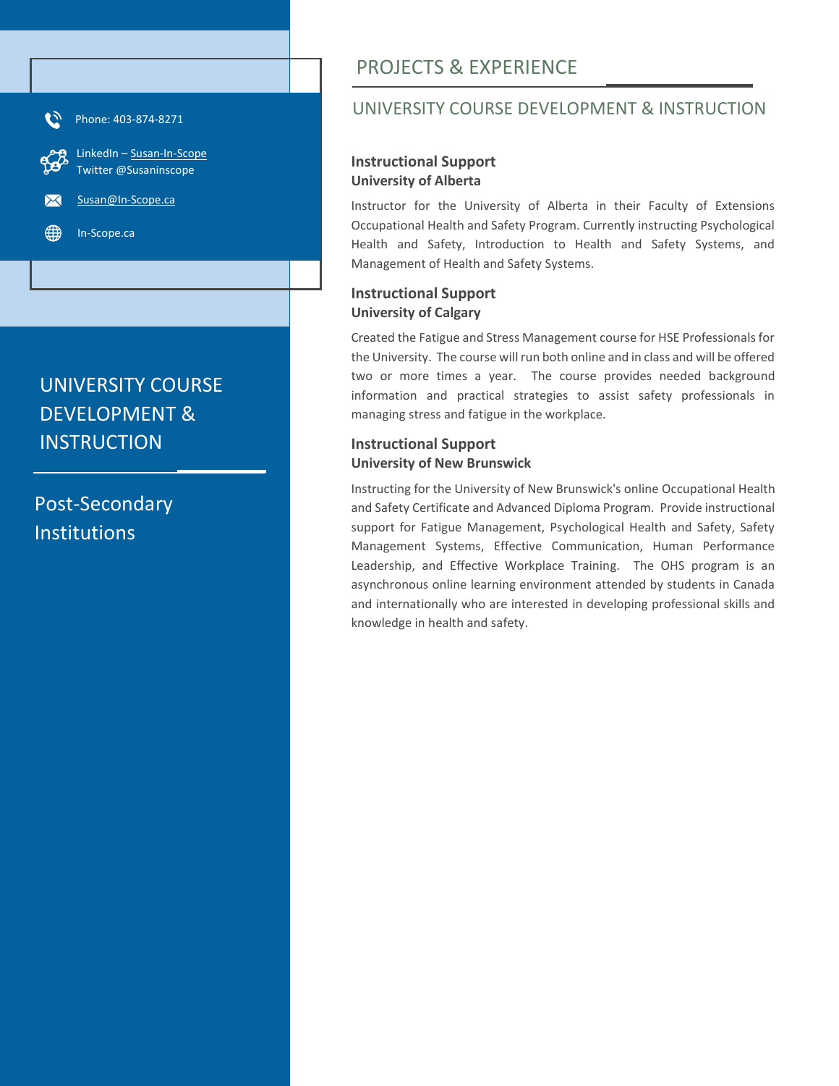

# UNIVERSITY COURSE DEVELOPMENT & **INSTRUCTION**

Post-Secondary Institutions

# PROJECTS & EXPERIENCE

### UNIVERSITY COURSE DEVELOPMENT & INSTRUCTION

#### **Instructional Support University of Alberta**

Instructor for the University of Alberta in their Faculty of Extensions Occupational Health and Safety Program. Currently instructing Psychological Health and Safety, Introduction to Health and Safety Systems, and Management of Health and Safety Systems.

#### **Instructional Support University of Calgary**

Created the Fatigue and Stress Management course for HSE Professionals for the University. The course will run both online and in class and will be offered two or more times a year. The course provides needed background information and practical strategies to assist safety professionals in managing stress and fatigue in the workplace.

#### **Instructional Support University of New Brunswick**

Instructing for the University of New Brunswick's online Occupational Health and Safety Certificate and Advanced Diploma Program. Provide instructional support for Fatigue Management, Psychological Health and Safety, Safety Management Systems, Effective Communication, Human Performance Leadership, and Effective Workplace Training. The OHS program is an asynchronous online learning environment attended by students in Canada and internationally who are interested in developing professional skills and knowledge in health and safety.